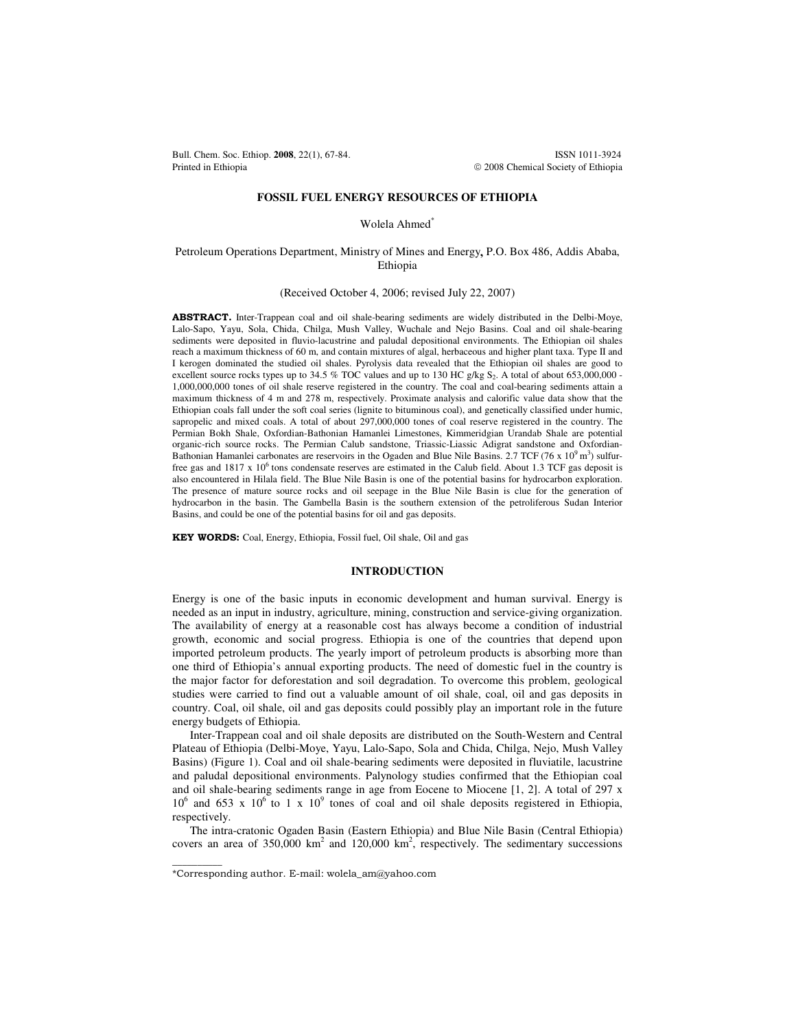Bull. Chem. Soc. Ethiop. **2008**, 22(1), 67-84. ISSN 1011-3924 Printed in Ethiopia **2008** Chemical Society of Ethiopia

# **FOSSIL FUEL ENERGY RESOURCES OF ETHIOPIA**

Wolela Ahmed<sup>\*</sup>

# Petroleum Operations Department, Ministry of Mines and Energy**,** P.O. Box 486, Addis Ababa, Ethiopia

(Received October 4, 2006; revised July 22, 2007)

ABSTRACT. Inter-Trappean coal and oil shale-bearing sediments are widely distributed in the Delbi-Moye, Lalo-Sapo, Yayu, Sola, Chida, Chilga, Mush Valley, Wuchale and Nejo Basins. Coal and oil shale-bearing sediments were deposited in fluvio-lacustrine and paludal depositional environments. The Ethiopian oil shales reach a maximum thickness of 60 m, and contain mixtures of algal, herbaceous and higher plant taxa. Type II and I kerogen dominated the studied oil shales. Pyrolysis data revealed that the Ethiopian oil shales are good to excellent source rocks types up to 34.5 % TOC values and up to 130 HC g/kg  $S_2$ . A total of about 653,000,000 -1,000,000,000 tones of oil shale reserve registered in the country. The coal and coal-bearing sediments attain a maximum thickness of 4 m and 278 m, respectively. Proximate analysis and calorific value data show that the Ethiopian coals fall under the soft coal series (lignite to bituminous coal), and genetically classified under humic, sapropelic and mixed coals. A total of about 297,000,000 tones of coal reserve registered in the country. The Permian Bokh Shale, Oxfordian-Bathonian Hamanlei Limestones, Kimmeridgian Urandab Shale are potential organic-rich source rocks. The Permian Calub sandstone, Triassic-Liassic Adigrat sandstone and Oxfordian-Bathonian Hamanlei carbonates are reservoirs in the Ogaden and Blue Nile Basins. 2.7 TCF (76 x  $10^9$  m<sup>3</sup>) sulfurfree gas and  $1817 \times 10^6$  tons condensate reserves are estimated in the Calub field. About 1.3 TCF gas deposit is also encountered in Hilala field. The Blue Nile Basin is one of the potential basins for hydrocarbon exploration. The presence of mature source rocks and oil seepage in the Blue Nile Basin is clue for the generation of hydrocarbon in the basin. The Gambella Basin is the southern extension of the petroliferous Sudan Interior Basins, and could be one of the potential basins for oil and gas deposits.

KEY WORDS: Coal, Energy, Ethiopia, Fossil fuel, Oil shale, Oil and gas

### **INTRODUCTION**

Energy is one of the basic inputs in economic development and human survival. Energy is needed as an input in industry, agriculture, mining, construction and service-giving organization. The availability of energy at a reasonable cost has always become a condition of industrial growth, economic and social progress. Ethiopia is one of the countries that depend upon imported petroleum products. The yearly import of petroleum products is absorbing more than one third of Ethiopia's annual exporting products. The need of domestic fuel in the country is the major factor for deforestation and soil degradation. To overcome this problem, geological studies were carried to find out a valuable amount of oil shale, coal, oil and gas deposits in country. Coal, oil shale, oil and gas deposits could possibly play an important role in the future energy budgets of Ethiopia.

Inter-Trappean coal and oil shale deposits are distributed on the South-Western and Central Plateau of Ethiopia (Delbi-Moye, Yayu, Lalo-Sapo, Sola and Chida, Chilga, Nejo, Mush Valley Basins) (Figure 1). Coal and oil shale-bearing sediments were deposited in fluviatile, lacustrine and paludal depositional environments. Palynology studies confirmed that the Ethiopian coal and oil shale-bearing sediments range in age from Eocene to Miocene [1, 2]. A total of 297 x  $10^6$  and 653 x  $10^6$  to 1 x  $10^9$  tones of coal and oil shale deposits registered in Ethiopia, respectively.

The intra-cratonic Ogaden Basin (Eastern Ethiopia) and Blue Nile Basin (Central Ethiopia) covers an area of 350,000  $km^2$  and 120,000  $km^2$ , respectively. The sedimentary successions

 $\overline{\phantom{a}}$ 

<sup>\*</sup>Corresponding author. E-mail: wolela\_am@yahoo.com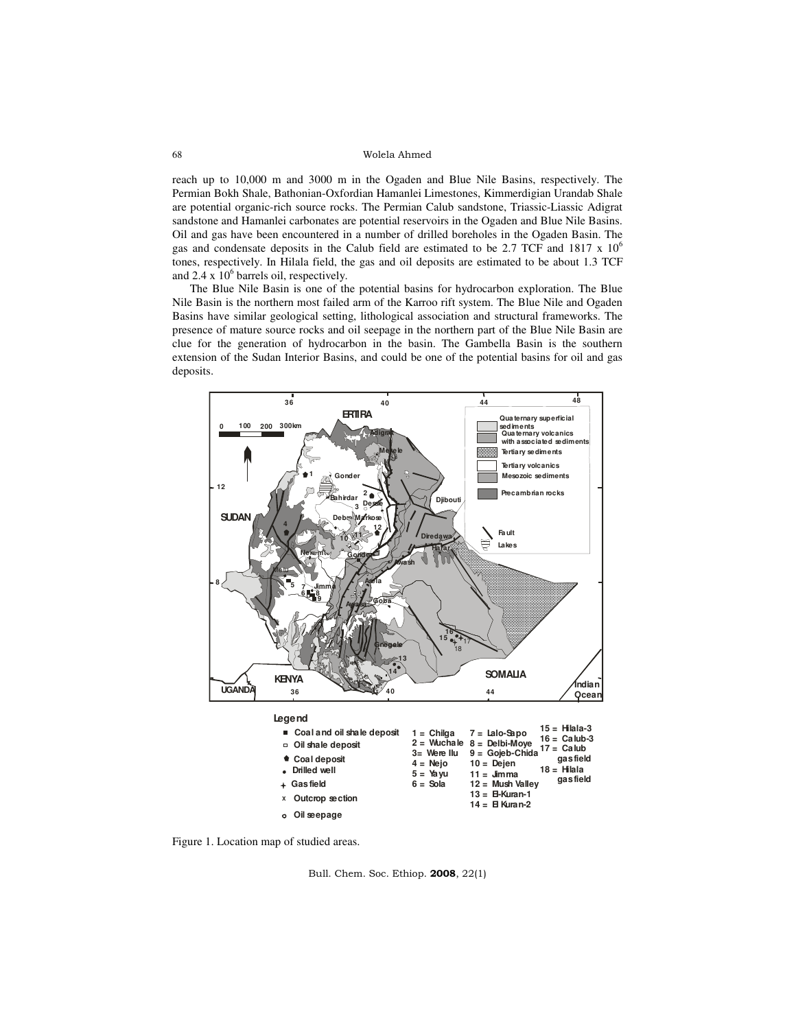reach up to 10,000 m and 3000 m in the Ogaden and Blue Nile Basins, respectively. The Permian Bokh Shale, Bathonian-Oxfordian Hamanlei Limestones, Kimmerdigian Urandab Shale are potential organic-rich source rocks. The Permian Calub sandstone, Triassic-Liassic Adigrat sandstone and Hamanlei carbonates are potential reservoirs in the Ogaden and Blue Nile Basins. Oil and gas have been encountered in a number of drilled boreholes in the Ogaden Basin. The gas and condensate deposits in the Calub field are estimated to be 2.7 TCF and 1817 x  $10<sup>6</sup>$ tones, respectively. In Hilala field, the gas and oil deposits are estimated to be about 1.3 TCF and  $2.4 \times 10^6$  barrels oil, respectively.

The Blue Nile Basin is one of the potential basins for hydrocarbon exploration. The Blue Nile Basin is the northern most failed arm of the Karroo rift system. The Blue Nile and Ogaden Basins have similar geological setting, lithological association and structural frameworks. The presence of mature source rocks and oil seepage in the northern part of the Blue Nile Basin are clue for the generation of hydrocarbon in the basin. The Gambella Basin is the southern extension of the Sudan Interior Basins, and could be one of the potential basins for oil and gas deposits.



Figure 1. Location map of studied areas.

Bull. Chem. Soc. Ethiop. 2008, 22(1)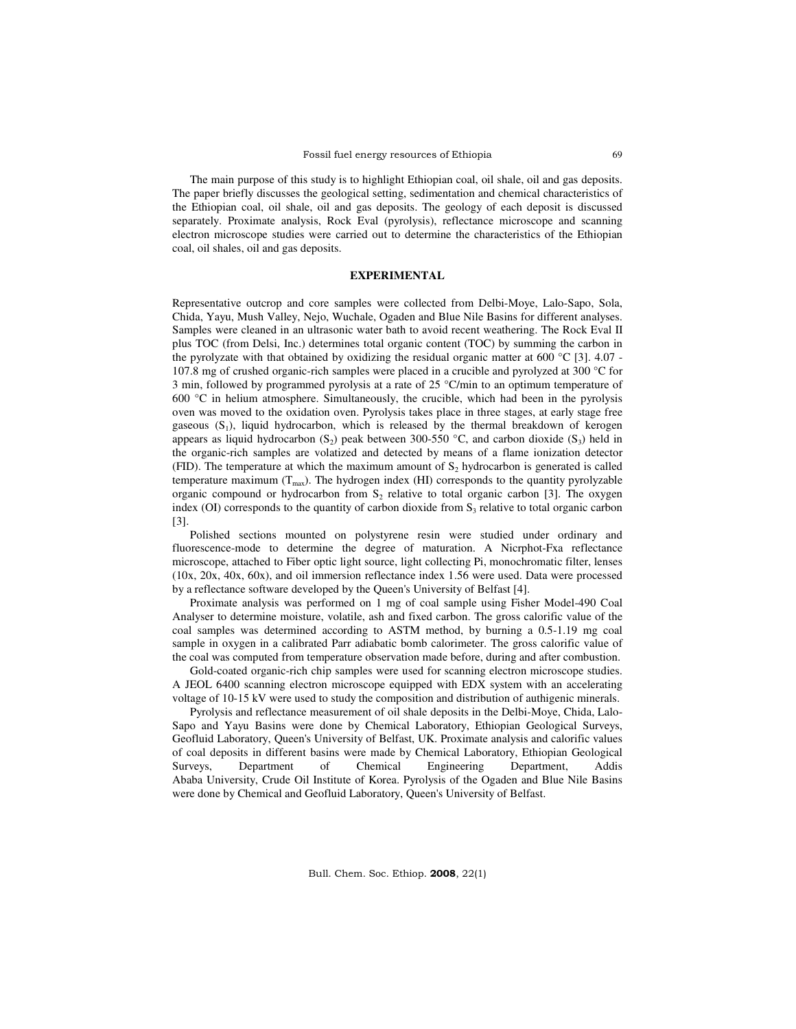The main purpose of this study is to highlight Ethiopian coal, oil shale, oil and gas deposits. The paper briefly discusses the geological setting, sedimentation and chemical characteristics of the Ethiopian coal, oil shale, oil and gas deposits. The geology of each deposit is discussed separately. Proximate analysis, Rock Eval (pyrolysis), reflectance microscope and scanning electron microscope studies were carried out to determine the characteristics of the Ethiopian coal, oil shales, oil and gas deposits.

# **EXPERIMENTAL**

Representative outcrop and core samples were collected from Delbi-Moye, Lalo-Sapo, Sola, Chida, Yayu, Mush Valley, Nejo, Wuchale, Ogaden and Blue Nile Basins for different analyses. Samples were cleaned in an ultrasonic water bath to avoid recent weathering. The Rock Eval II plus TOC (from Delsi, Inc.) determines total organic content (TOC) by summing the carbon in the pyrolyzate with that obtained by oxidizing the residual organic matter at 600 °C [3]. 4.07 -107.8 mg of crushed organic-rich samples were placed in a crucible and pyrolyzed at 300 °C for 3 min, followed by programmed pyrolysis at a rate of 25 °C/min to an optimum temperature of 600 °C in helium atmosphere. Simultaneously, the crucible, which had been in the pyrolysis oven was moved to the oxidation oven. Pyrolysis takes place in three stages, at early stage free gaseous  $(S_1)$ , liquid hydrocarbon, which is released by the thermal breakdown of kerogen appears as liquid hydrocarbon  $(S_2)$  peak between 300-550 °C, and carbon dioxide  $(S_3)$  held in the organic-rich samples are volatized and detected by means of a flame ionization detector (FID). The temperature at which the maximum amount of  $S_2$  hydrocarbon is generated is called temperature maximum  $(T_{\text{max}})$ . The hydrogen index (HI) corresponds to the quantity pyrolyzable organic compound or hydrocarbon from  $S_2$  relative to total organic carbon [3]. The oxygen index (OI) corresponds to the quantity of carbon dioxide from  $S_3$  relative to total organic carbon [3].

Polished sections mounted on polystyrene resin were studied under ordinary and fluorescence-mode to determine the degree of maturation. A Nicrphot-Fxa reflectance microscope, attached to Fiber optic light source, light collecting Pi, monochromatic filter, lenses (10x, 20x, 40x, 60x), and oil immersion reflectance index 1.56 were used. Data were processed by a reflectance software developed by the Queen's University of Belfast [4].

Proximate analysis was performed on 1 mg of coal sample using Fisher Model-490 Coal Analyser to determine moisture, volatile, ash and fixed carbon. The gross calorific value of the coal samples was determined according to ASTM method, by burning a 0.5-1.19 mg coal sample in oxygen in a calibrated Parr adiabatic bomb calorimeter. The gross calorific value of the coal was computed from temperature observation made before, during and after combustion.

Gold-coated organic-rich chip samples were used for scanning electron microscope studies. A JEOL 6400 scanning electron microscope equipped with EDX system with an accelerating voltage of 10-15 kV were used to study the composition and distribution of authigenic minerals.

Pyrolysis and reflectance measurement of oil shale deposits in the Delbi-Moye, Chida, Lalo-Sapo and Yayu Basins were done by Chemical Laboratory, Ethiopian Geological Surveys, Geofluid Laboratory, Queen's University of Belfast, UK. Proximate analysis and calorific values of coal deposits in different basins were made by Chemical Laboratory, Ethiopian Geological Surveys, Department of Chemical Engineering Department, Addis Ababa University, Crude Oil Institute of Korea. Pyrolysis of the Ogaden and Blue Nile Basins were done by Chemical and Geofluid Laboratory, Queen's University of Belfast.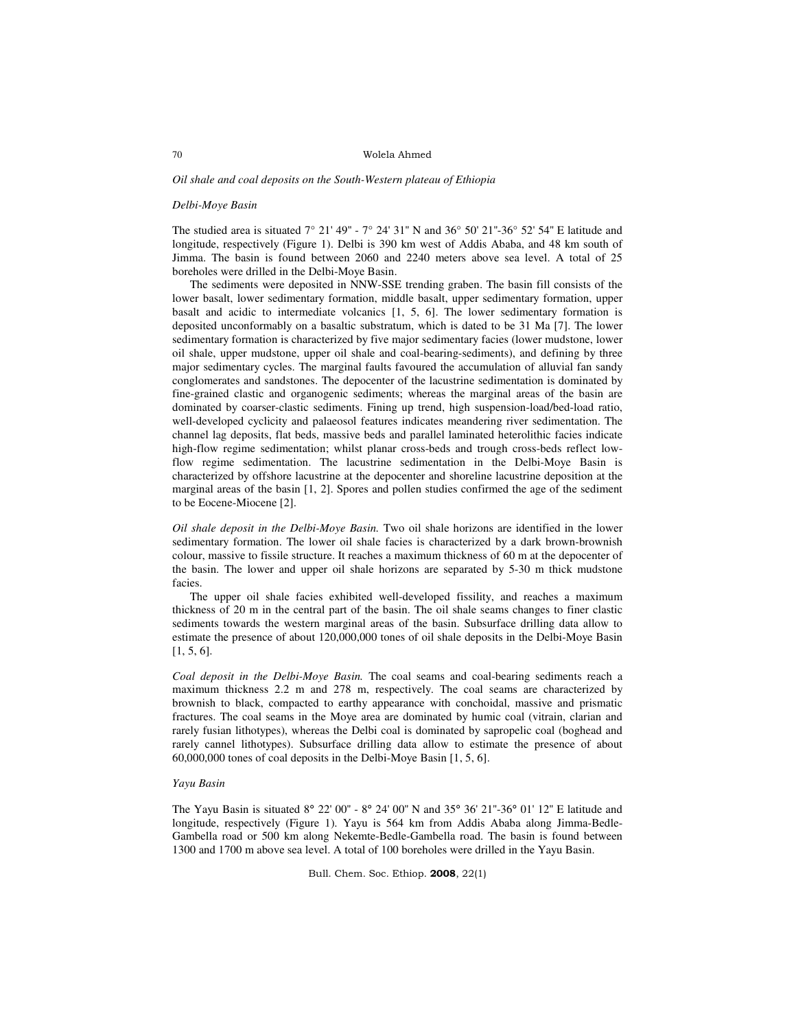*Oil shale and coal deposits on the South-Western plateau of Ethiopia* 

# *Delbi-Moye Basin*

The studied area is situated  $7^{\circ}$  21' 49" -  $7^{\circ}$  24' 31" N and 36 $^{\circ}$  50' 21"-36 $^{\circ}$  52' 54" E latitude and longitude, respectively (Figure 1). Delbi is 390 km west of Addis Ababa, and 48 km south of Jimma. The basin is found between 2060 and 2240 meters above sea level. A total of 25 boreholes were drilled in the Delbi-Moye Basin.

The sediments were deposited in NNW-SSE trending graben. The basin fill consists of the lower basalt, lower sedimentary formation, middle basalt, upper sedimentary formation, upper basalt and acidic to intermediate volcanics [1, 5, 6]. The lower sedimentary formation is deposited unconformably on a basaltic substratum, which is dated to be 31 Ma [7]. The lower sedimentary formation is characterized by five major sedimentary facies (lower mudstone, lower oil shale, upper mudstone, upper oil shale and coal-bearing-sediments), and defining by three major sedimentary cycles. The marginal faults favoured the accumulation of alluvial fan sandy conglomerates and sandstones. The depocenter of the lacustrine sedimentation is dominated by fine-grained clastic and organogenic sediments; whereas the marginal areas of the basin are dominated by coarser-clastic sediments. Fining up trend, high suspension-load/bed-load ratio, well-developed cyclicity and palaeosol features indicates meandering river sedimentation. The channel lag deposits, flat beds, massive beds and parallel laminated heterolithic facies indicate high-flow regime sedimentation; whilst planar cross-beds and trough cross-beds reflect lowflow regime sedimentation. The lacustrine sedimentation in the Delbi-Moye Basin is characterized by offshore lacustrine at the depocenter and shoreline lacustrine deposition at the marginal areas of the basin [1, 2]. Spores and pollen studies confirmed the age of the sediment to be Eocene-Miocene [2].

*Oil shale deposit in the Delbi-Moye Basin.* Two oil shale horizons are identified in the lower sedimentary formation. The lower oil shale facies is characterized by a dark brown-brownish colour, massive to fissile structure. It reaches a maximum thickness of 60 m at the depocenter of the basin. The lower and upper oil shale horizons are separated by 5-30 m thick mudstone facies.

The upper oil shale facies exhibited well-developed fissility, and reaches a maximum thickness of 20 m in the central part of the basin. The oil shale seams changes to finer clastic sediments towards the western marginal areas of the basin. Subsurface drilling data allow to estimate the presence of about 120,000,000 tones of oil shale deposits in the Delbi-Moye Basin [1, 5, 6].

*Coal deposit in the Delbi-Moye Basin.* The coal seams and coal-bearing sediments reach a maximum thickness 2.2 m and 278 m, respectively. The coal seams are characterized by brownish to black, compacted to earthy appearance with conchoidal, massive and prismatic fractures. The coal seams in the Moye area are dominated by humic coal (vitrain, clarian and rarely fusian lithotypes), whereas the Delbi coal is dominated by sapropelic coal (boghead and rarely cannel lithotypes). Subsurface drilling data allow to estimate the presence of about 60,000,000 tones of coal deposits in the Delbi-Moye Basin [1, 5, 6].

### *Yayu Basin*

The Yayu Basin is situated 8° 22' 00'' - 8° 24' 00'' N and 35° 36' 21''-36° 01' 12'' E latitude and longitude, respectively (Figure 1). Yayu is 564 km from Addis Ababa along Jimma-Bedle-Gambella road or 500 km along Nekemte-Bedle-Gambella road. The basin is found between 1300 and 1700 m above sea level. A total of 100 boreholes were drilled in the Yayu Basin.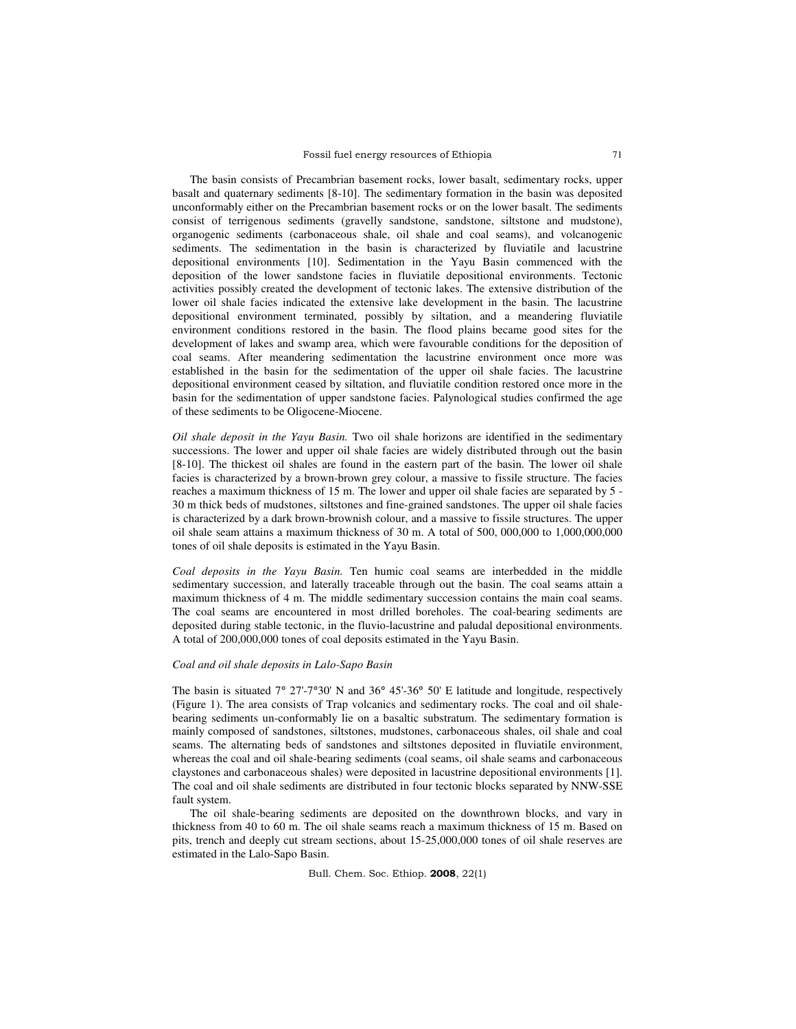The basin consists of Precambrian basement rocks, lower basalt, sedimentary rocks, upper basalt and quaternary sediments [8-10]. The sedimentary formation in the basin was deposited unconformably either on the Precambrian basement rocks or on the lower basalt. The sediments consist of terrigenous sediments (gravelly sandstone, sandstone, siltstone and mudstone), organogenic sediments (carbonaceous shale, oil shale and coal seams), and volcanogenic sediments. The sedimentation in the basin is characterized by fluviatile and lacustrine depositional environments [10]. Sedimentation in the Yayu Basin commenced with the deposition of the lower sandstone facies in fluviatile depositional environments. Tectonic activities possibly created the development of tectonic lakes. The extensive distribution of the lower oil shale facies indicated the extensive lake development in the basin. The lacustrine depositional environment terminated, possibly by siltation, and a meandering fluviatile environment conditions restored in the basin. The flood plains became good sites for the development of lakes and swamp area, which were favourable conditions for the deposition of coal seams. After meandering sedimentation the lacustrine environment once more was established in the basin for the sedimentation of the upper oil shale facies. The lacustrine depositional environment ceased by siltation, and fluviatile condition restored once more in the basin for the sedimentation of upper sandstone facies. Palynological studies confirmed the age of these sediments to be Oligocene-Miocene.

*Oil shale deposit in the Yayu Basin.* Two oil shale horizons are identified in the sedimentary successions. The lower and upper oil shale facies are widely distributed through out the basin [8-10]. The thickest oil shales are found in the eastern part of the basin. The lower oil shale facies is characterized by a brown-brown grey colour, a massive to fissile structure. The facies reaches a maximum thickness of 15 m. The lower and upper oil shale facies are separated by 5 - 30 m thick beds of mudstones, siltstones and fine-grained sandstones. The upper oil shale facies is characterized by a dark brown-brownish colour, and a massive to fissile structures. The upper oil shale seam attains a maximum thickness of 30 m. A total of 500, 000,000 to 1,000,000,000 tones of oil shale deposits is estimated in the Yayu Basin.

*Coal deposits in the Yayu Basin.* Ten humic coal seams are interbedded in the middle sedimentary succession, and laterally traceable through out the basin. The coal seams attain a maximum thickness of 4 m. The middle sedimentary succession contains the main coal seams. The coal seams are encountered in most drilled boreholes. The coal-bearing sediments are deposited during stable tectonic, in the fluvio-lacustrine and paludal depositional environments. A total of 200,000,000 tones of coal deposits estimated in the Yayu Basin.

# *Coal and oil shale deposits in Lalo-Sapo Basin*

The basin is situated  $7^{\circ}$  27'-7°30' N and 36° 45'-36° 50' E latitude and longitude, respectively (Figure 1). The area consists of Trap volcanics and sedimentary rocks. The coal and oil shalebearing sediments un-conformably lie on a basaltic substratum. The sedimentary formation is mainly composed of sandstones, siltstones, mudstones, carbonaceous shales, oil shale and coal seams. The alternating beds of sandstones and siltstones deposited in fluviatile environment, whereas the coal and oil shale-bearing sediments (coal seams, oil shale seams and carbonaceous claystones and carbonaceous shales) were deposited in lacustrine depositional environments [1]. The coal and oil shale sediments are distributed in four tectonic blocks separated by NNW-SSE fault system.

The oil shale-bearing sediments are deposited on the downthrown blocks, and vary in thickness from 40 to 60 m. The oil shale seams reach a maximum thickness of 15 m. Based on pits, trench and deeply cut stream sections, about 15-25,000,000 tones of oil shale reserves are estimated in the Lalo-Sapo Basin.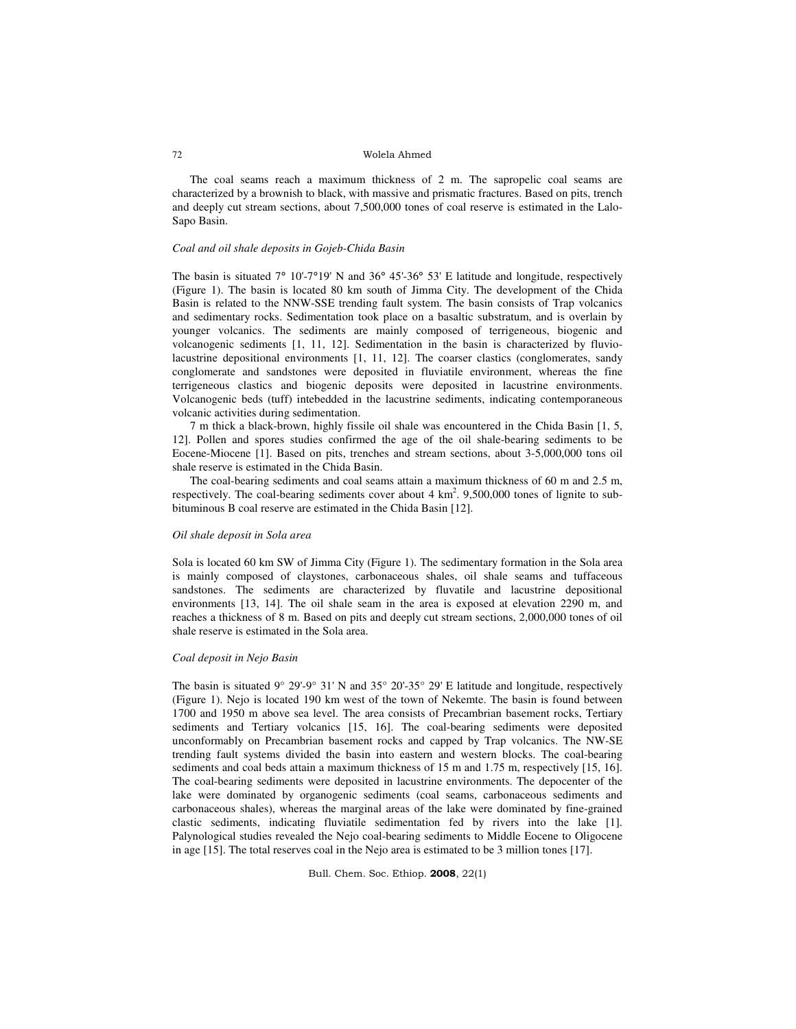The coal seams reach a maximum thickness of 2 m. The sapropelic coal seams are characterized by a brownish to black, with massive and prismatic fractures. Based on pits, trench and deeply cut stream sections, about 7,500,000 tones of coal reserve is estimated in the Lalo-Sapo Basin.

# *Coal and oil shale deposits in Gojeb-Chida Basin*

The basin is situated  $7^{\circ}$  10'-7°19' N and  $36^{\circ}$  45'-36° 53' E latitude and longitude, respectively (Figure 1). The basin is located 80 km south of Jimma City. The development of the Chida Basin is related to the NNW-SSE trending fault system. The basin consists of Trap volcanics and sedimentary rocks. Sedimentation took place on a basaltic substratum, and is overlain by younger volcanics. The sediments are mainly composed of terrigeneous, biogenic and volcanogenic sediments [1, 11, 12]. Sedimentation in the basin is characterized by fluviolacustrine depositional environments [1, 11, 12]. The coarser clastics (conglomerates, sandy conglomerate and sandstones were deposited in fluviatile environment, whereas the fine terrigeneous clastics and biogenic deposits were deposited in lacustrine environments. Volcanogenic beds (tuff) intebedded in the lacustrine sediments, indicating contemporaneous volcanic activities during sedimentation.

7 m thick a black-brown, highly fissile oil shale was encountered in the Chida Basin [1, 5, 12]. Pollen and spores studies confirmed the age of the oil shale-bearing sediments to be Eocene-Miocene [1]. Based on pits, trenches and stream sections, about 3-5,000,000 tons oil shale reserve is estimated in the Chida Basin.

The coal-bearing sediments and coal seams attain a maximum thickness of 60 m and 2.5 m, respectively. The coal-bearing sediments cover about  $4 \text{ km}^2$ . 9,500,000 tones of lignite to subbituminous B coal reserve are estimated in the Chida Basin [12].

# *Oil shale deposit in Sola area*

Sola is located 60 km SW of Jimma City (Figure 1). The sedimentary formation in the Sola area is mainly composed of claystones, carbonaceous shales, oil shale seams and tuffaceous sandstones. The sediments are characterized by fluvatile and lacustrine depositional environments [13, 14]. The oil shale seam in the area is exposed at elevation 2290 m, and reaches a thickness of 8 m. Based on pits and deeply cut stream sections, 2,000,000 tones of oil shale reserve is estimated in the Sola area.

# *Coal deposit in Nejo Basin*

The basin is situated  $9^{\circ}$  29'-9° 31' N and 35° 20'-35° 29' E latitude and longitude, respectively (Figure 1). Nejo is located 190 km west of the town of Nekemte. The basin is found between 1700 and 1950 m above sea level. The area consists of Precambrian basement rocks, Tertiary sediments and Tertiary volcanics [15, 16]. The coal-bearing sediments were deposited unconformably on Precambrian basement rocks and capped by Trap volcanics. The NW-SE trending fault systems divided the basin into eastern and western blocks. The coal-bearing sediments and coal beds attain a maximum thickness of 15 m and 1.75 m, respectively [15, 16]. The coal-bearing sediments were deposited in lacustrine environments. The depocenter of the lake were dominated by organogenic sediments (coal seams, carbonaceous sediments and carbonaceous shales), whereas the marginal areas of the lake were dominated by fine-grained clastic sediments, indicating fluviatile sedimentation fed by rivers into the lake [1]. Palynological studies revealed the Nejo coal-bearing sediments to Middle Eocene to Oligocene in age [15]. The total reserves coal in the Nejo area is estimated to be 3 million tones [17].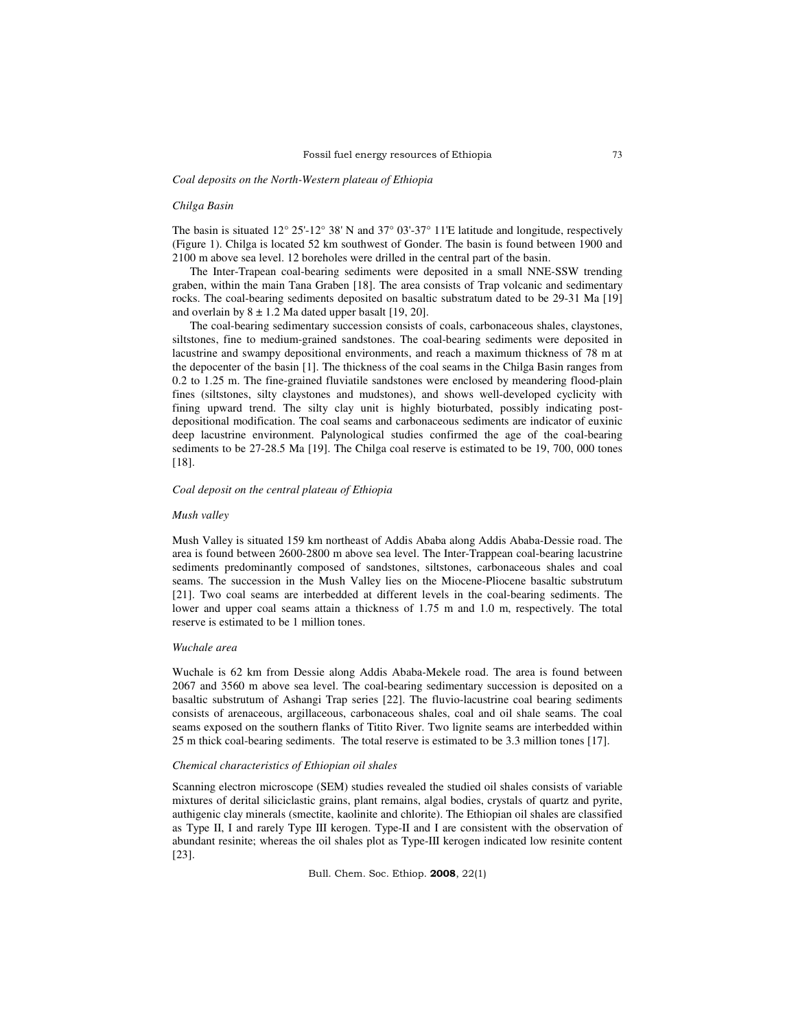*Coal deposits on the North-Western plateau of Ethiopia* 

# *Chilga Basin*

The basin is situated  $12^{\circ} 25'$ -12° 38' N and  $37^{\circ} 03'$ -37° 11'E latitude and longitude, respectively (Figure 1). Chilga is located 52 km southwest of Gonder. The basin is found between 1900 and 2100 m above sea level. 12 boreholes were drilled in the central part of the basin.

The Inter-Trapean coal-bearing sediments were deposited in a small NNE-SSW trending graben, within the main Tana Graben [18]. The area consists of Trap volcanic and sedimentary rocks. The coal-bearing sediments deposited on basaltic substratum dated to be 29-31 Ma [19] and overlain by  $8 \pm 1.2$  Ma dated upper basalt [19, 20].

The coal-bearing sedimentary succession consists of coals, carbonaceous shales, claystones, siltstones, fine to medium-grained sandstones. The coal-bearing sediments were deposited in lacustrine and swampy depositional environments, and reach a maximum thickness of 78 m at the depocenter of the basin [1]. The thickness of the coal seams in the Chilga Basin ranges from 0.2 to 1.25 m. The fine-grained fluviatile sandstones were enclosed by meandering flood-plain fines (siltstones, silty claystones and mudstones), and shows well-developed cyclicity with fining upward trend. The silty clay unit is highly bioturbated, possibly indicating postdepositional modification. The coal seams and carbonaceous sediments are indicator of euxinic deep lacustrine environment. Palynological studies confirmed the age of the coal-bearing sediments to be 27-28.5 Ma [19]. The Chilga coal reserve is estimated to be 19, 700, 000 tones [18].

# *Coal deposit on the central plateau of Ethiopia*

#### *Mush valley*

Mush Valley is situated 159 km northeast of Addis Ababa along Addis Ababa-Dessie road. The area is found between 2600-2800 m above sea level. The Inter-Trappean coal-bearing lacustrine sediments predominantly composed of sandstones, siltstones, carbonaceous shales and coal seams. The succession in the Mush Valley lies on the Miocene-Pliocene basaltic substrutum [21]. Two coal seams are interbedded at different levels in the coal-bearing sediments. The lower and upper coal seams attain a thickness of 1.75 m and 1.0 m, respectively. The total reserve is estimated to be 1 million tones.

#### *Wuchale area*

Wuchale is 62 km from Dessie along Addis Ababa-Mekele road. The area is found between 2067 and 3560 m above sea level. The coal-bearing sedimentary succession is deposited on a basaltic substrutum of Ashangi Trap series [22]. The fluvio-lacustrine coal bearing sediments consists of arenaceous, argillaceous, carbonaceous shales, coal and oil shale seams. The coal seams exposed on the southern flanks of Titito River. Two lignite seams are interbedded within 25 m thick coal-bearing sediments. The total reserve is estimated to be 3.3 million tones [17].

### *Chemical characteristics of Ethiopian oil shales*

Scanning electron microscope (SEM) studies revealed the studied oil shales consists of variable mixtures of derital siliciclastic grains, plant remains, algal bodies, crystals of quartz and pyrite, authigenic clay minerals (smectite, kaolinite and chlorite). The Ethiopian oil shales are classified as Type II, I and rarely Type III kerogen. Type-II and I are consistent with the observation of abundant resinite; whereas the oil shales plot as Type-III kerogen indicated low resinite content [23].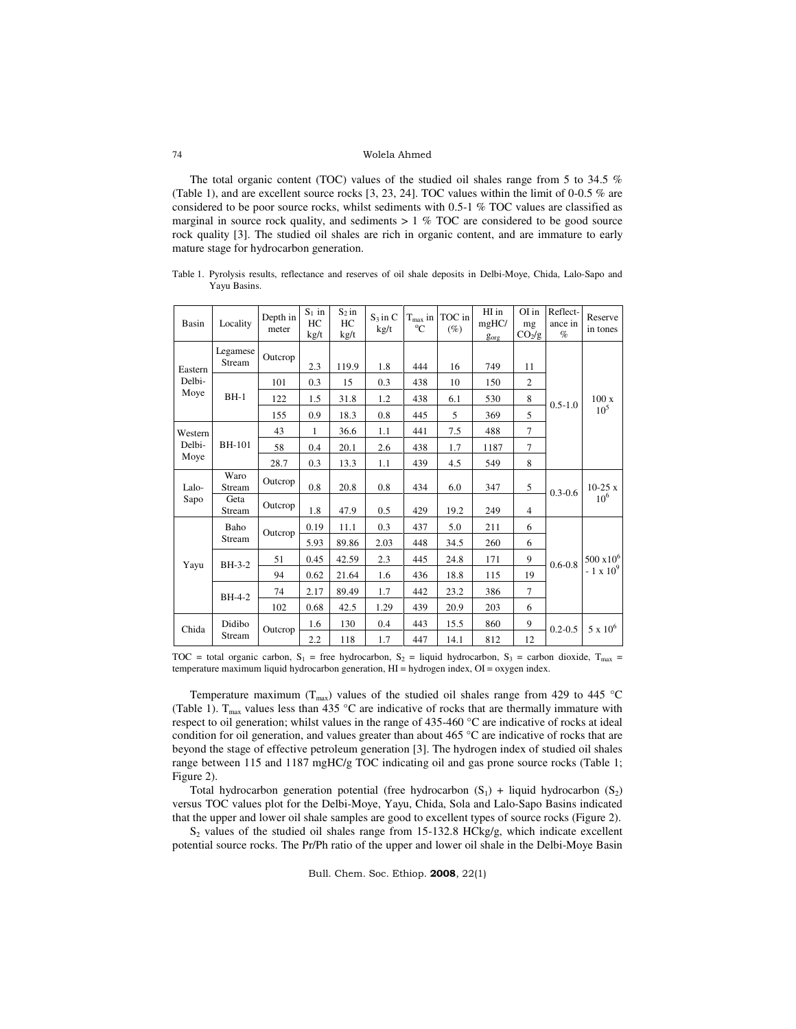The total organic content (TOC) values of the studied oil shales range from 5 to 34.5 % (Table 1), and are excellent source rocks  $[3, 23, 24]$ . TOC values within the limit of 0-0.5 % are considered to be poor source rocks, whilst sediments with  $0.5\n-1$  % TOC values are classified as marginal in source rock quality, and sediments  $> 1\%$  TOC are considered to be good source rock quality [3]. The studied oil shales are rich in organic content, and are immature to early mature stage for hydrocarbon generation.

Table 1. Pyrolysis results, reflectance and reserves of oil shale deposits in Delbi-Moye, Chida, Lalo-Sapo and Yayu Basins.

| Basin   | Locality           | Depth in<br>meter | $S_1$ in<br>HC<br>kg/t | $S_2$ in<br>HC<br>kg/t | $S_3$ in C<br>kg/t | $T_{\text{max}}$ in<br>$^{\circ}C$ | TOC in<br>$(\%)$ | HI in<br>mgHC/<br>$g_{org}$ | OI in<br>mg<br>CO <sub>2</sub> /g | Reflect-<br>ance in<br>$\%$ | Reserve<br>in tones     |
|---------|--------------------|-------------------|------------------------|------------------------|--------------------|------------------------------------|------------------|-----------------------------|-----------------------------------|-----------------------------|-------------------------|
| Eastern | Legamese<br>Stream | Outcrop           | 2.3                    | 119.9                  | 1.8                | 444                                | 16               | 749                         | 11                                |                             |                         |
| Delbi-  |                    | 101               | 0.3                    | 15                     | 0.3                | 438                                | 10               | 150                         | 2                                 | $0.5 - 1.0$                 | 100x<br>10 <sup>5</sup> |
| Moye    | $BH-1$             | 122               | 1.5                    | 31.8                   | 1.2                | 438                                | 6.1              | 530                         | 8                                 |                             |                         |
|         |                    | 155               | 0.9                    | 18.3                   | 0.8                | 445                                | 5                | 369                         | 5                                 |                             |                         |
| Western | <b>BH-101</b>      | 43                | $\mathbf{1}$           | 36.6                   | 1.1                | 441                                | 7.5              | 488                         | $\overline{7}$                    |                             |                         |
| Delbi-  |                    | 58                | 0.4                    | 20.1                   | 2.6                | 438                                | 1.7              | 1187                        | $\tau$                            |                             |                         |
| Moye    |                    | 28.7              | 0.3                    | 13.3                   | 1.1                | 439                                | 4.5              | 549                         | 8                                 |                             |                         |
| Lalo-   | Waro<br>Stream     | Outcrop           | 0.8                    | 20.8                   | 0.8                | 434                                | 6.0              | 347                         | 5                                 | $0.3 - 0.6$                 | $10-25 x$               |
| Sapo    | Geta<br>Stream     | Outcrop           | 1.8                    | 47.9                   | 0.5                | 429                                | 19.2             | 249                         | $\overline{4}$                    |                             | 10 <sup>6</sup>         |
|         | Baho               | Outcrop           | 0.19                   | 11.1                   | 0.3                | 437                                | 5.0              | 211                         | 6                                 |                             |                         |
|         | Stream             |                   | 5.93                   | 89.86                  | 2.03               | 448                                | 34.5             | 260                         | 6                                 |                             |                         |
| Yayu    | $BH-3-2$           | 51                | 0.45                   | 42.59                  | 2.3                | 445                                | 24.8             | 171                         | 9                                 | $0.6 - 0.8$                 | $500 \times 10^{6}$     |
|         |                    | 94                | 0.62                   | 21.64                  | 1.6                | 436                                | 18.8             | 115                         | 19                                |                             | $-1 \times 10^{9}$      |
|         | $BH-4-2$           | 74                | 2.17                   | 89.49                  | 1.7                | 442                                | 23.2             | 386                         | $\tau$                            |                             |                         |
|         |                    | 102               | 0.68                   | 42.5                   | 1.29               | 439                                | 20.9             | 203                         | 6                                 |                             |                         |
| Chida   | Didibo             | Outcrop           | 1.6                    | 130                    | 0.4                | 443                                | 15.5             | 860                         | 9                                 | $0.2 - 0.5$                 | $5 \times 10^6$         |
|         | Stream             |                   | 2.2                    | 118                    | 1.7                | 447                                | 14.1             | 812                         | 12                                |                             |                         |

TOC = total organic carbon, S<sub>1</sub> = free hydrocarbon, S<sub>2</sub> = liquid hydrocarbon, S<sub>3</sub> = carbon dioxide, T<sub>max</sub> = temperature maximum liquid hydrocarbon generation, HI = hydrogen index, OI = oxygen index.

Temperature maximum ( $T_{\text{max}}$ ) values of the studied oil shales range from 429 to 445 °C (Table 1). T<sub>max</sub> values less than 435 °C are indicative of rocks that are thermally immature with respect to oil generation; whilst values in the range of 435-460 °C are indicative of rocks at ideal condition for oil generation, and values greater than about 465 °C are indicative of rocks that are beyond the stage of effective petroleum generation [3]. The hydrogen index of studied oil shales range between 115 and 1187 mgHC/g TOC indicating oil and gas prone source rocks (Table 1; Figure 2).

Total hydrocarbon generation potential (free hydrocarbon  $(S_1)$  + liquid hydrocarbon  $(S_2)$ versus TOC values plot for the Delbi-Moye, Yayu, Chida, Sola and Lalo-Sapo Basins indicated that the upper and lower oil shale samples are good to excellent types of source rocks (Figure 2).

 $S_2$  values of the studied oil shales range from 15-132.8 HCkg/g, which indicate excellent potential source rocks. The Pr/Ph ratio of the upper and lower oil shale in the Delbi-Moye Basin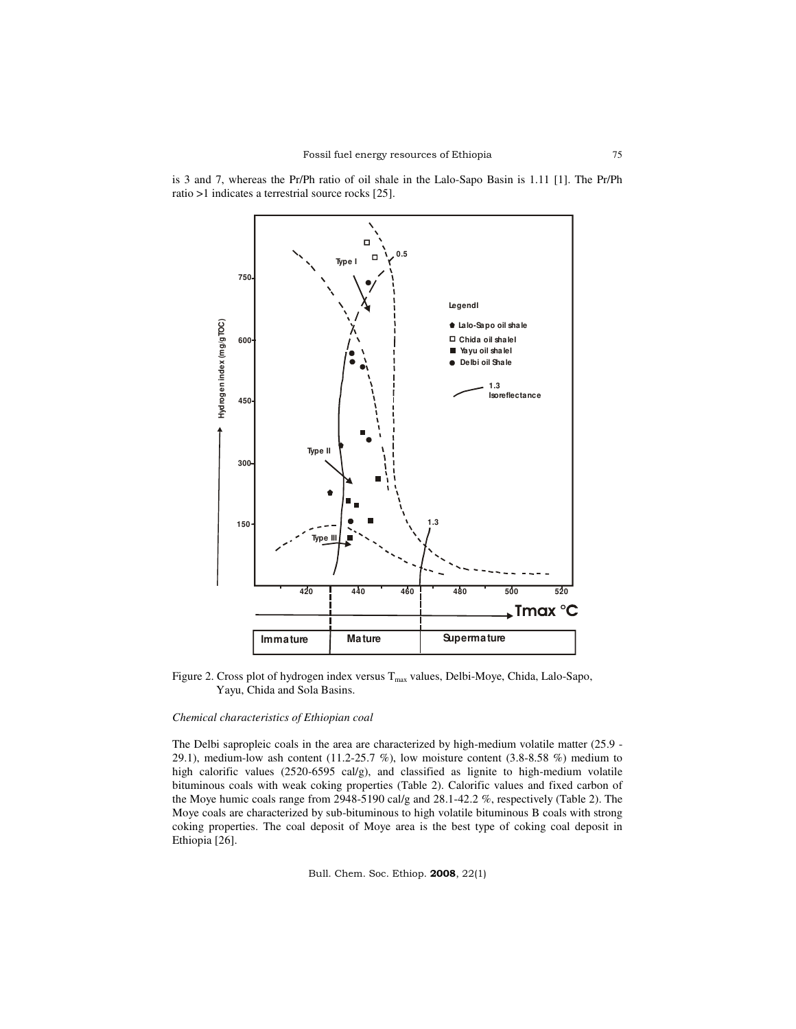



Figure 2. Cross plot of hydrogen index versus T<sub>max</sub> values, Delbi-Moye, Chida, Lalo-Sapo, Yayu, Chida and Sola Basins.

# *Chemical characteristics of Ethiopian coal*

The Delbi sapropleic coals in the area are characterized by high-medium volatile matter (25.9 -29.1), medium-low ash content (11.2-25.7 %), low moisture content (3.8-8.58 %) medium to high calorific values (2520-6595 cal/g), and classified as lignite to high-medium volatile bituminous coals with weak coking properties (Table 2). Calorific values and fixed carbon of the Moye humic coals range from 2948-5190 cal/g and 28.1-42.2 %, respectively (Table 2). The Moye coals are characterized by sub-bituminous to high volatile bituminous B coals with strong coking properties. The coal deposit of Moye area is the best type of coking coal deposit in Ethiopia [26].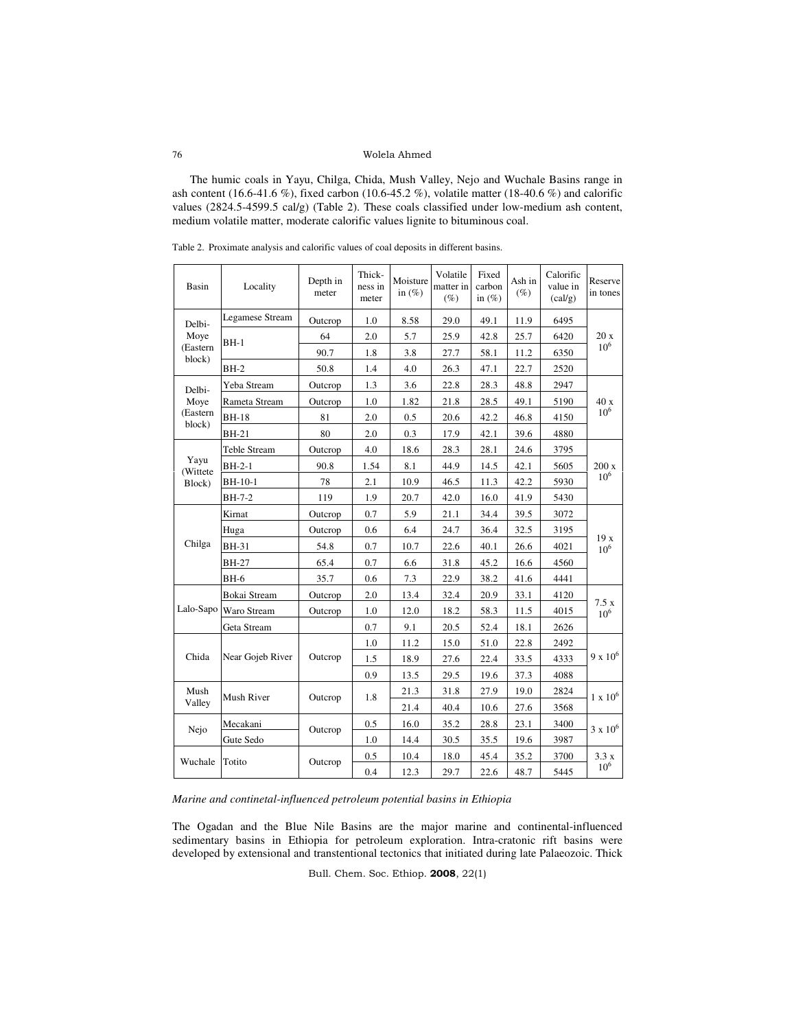The humic coals in Yayu, Chilga, Chida, Mush Valley, Nejo and Wuchale Basins range in ash content (16.6-41.6 %), fixed carbon (10.6-45.2 %), volatile matter (18-40.6 %) and calorific values (2824.5-4599.5 cal/g) (Table 2). These coals classified under low-medium ash content, medium volatile matter, moderate calorific values lignite to bituminous coal.

| Basin                      | Locality               | Depth in<br>meter | Thick-<br>ness in<br>meter | Moisture<br>in $(\%)$ | Volatile<br>matter in<br>$(\%)$ | Fixed<br>carbon<br>in $(\%)$ | Ash in<br>$(\%)$                                                                                                                                             | Calorific<br>value in<br>$\text{(cal/g)}$ | Reserve<br>in tones     |  |
|----------------------------|------------------------|-------------------|----------------------------|-----------------------|---------------------------------|------------------------------|--------------------------------------------------------------------------------------------------------------------------------------------------------------|-------------------------------------------|-------------------------|--|
| Delbi-                     | <b>Legamese Stream</b> | Outcrop           | 1.0                        | 8.58                  | 29.0                            | 49.1                         | 11.9                                                                                                                                                         | 6495                                      |                         |  |
| Moye<br>(Eastern<br>block) | $BH-1$                 | 64                | 2.0                        | 5.7                   | 25.9                            | 42.8                         | 25.7                                                                                                                                                         | 6420                                      | 20x                     |  |
|                            |                        | 90.7              | 1.8                        | 3.8                   | 27.7                            | 58.1                         | 11.2                                                                                                                                                         | 6350                                      | 10 <sup>6</sup>         |  |
|                            | $BH-2$                 | 50.8              | 1.4                        | 4.0                   | 26.3                            | 47.1                         | 22.7                                                                                                                                                         | 2520                                      |                         |  |
| Delbi-                     | Yeba Stream            | Outcrop           | 1.3                        | 3.6                   | 22.8                            | 28.3                         | 48.8                                                                                                                                                         | 2947                                      |                         |  |
| Moye                       | Rameta Stream          | Outcrop           | 1.0                        | 1.82                  | 21.8                            | 28.5                         | 49.1                                                                                                                                                         | 5190                                      | 40x                     |  |
| (Eastern<br>block)         | <b>BH-18</b>           | 81                | 2.0                        | 0.5                   | 20.6                            | 42.2                         | 46.8                                                                                                                                                         | 4150                                      | 10 <sup>6</sup>         |  |
|                            | <b>BH-21</b>           | 80                | 2.0                        | 0.3                   | 17.9                            | 42.1                         | 39.6                                                                                                                                                         | 4880                                      |                         |  |
|                            | Teble Stream           | Outcrop           | 4.0                        | 18.6                  | 28.3                            | 28.1                         | 24.6                                                                                                                                                         | 3795                                      |                         |  |
| Yayu<br>(Wittete           | $BH-2-1$               | 90.8              | 1.54                       | 8.1                   | 44.9                            | 14.5                         | 42.1                                                                                                                                                         | 5605                                      | 200x                    |  |
| Block)                     | BH-10-1                | 78                | 2.1                        | 10.9                  | 46.5                            | 11.3                         | 42.2                                                                                                                                                         | 5930                                      | 10 <sup>6</sup>         |  |
|                            | BH-7-2                 | 119               | 1.9                        | 20.7                  | 42.0                            | 16.0                         | 41.9                                                                                                                                                         | 5430                                      |                         |  |
|                            | Kirnat                 | Outcrop           | 0.7                        | 5.9                   | 21.1                            | 34.4                         | 39.5                                                                                                                                                         | 3072                                      |                         |  |
|                            | Huga                   | Outcrop           | 0.6                        | 6.4                   | 24.7                            | 36.4                         | 32.5                                                                                                                                                         | 3195                                      |                         |  |
| Chilga                     | <b>BH-31</b>           | 54.8              | 0.7                        | 10.7                  | 22.6                            | 40.1                         | 26.6                                                                                                                                                         | 4021                                      | 19x<br>10 <sup>6</sup>  |  |
|                            | <b>BH-27</b>           | 65.4              | 0.7                        | 6.6                   | 31.8                            | 45.2                         | 16.6                                                                                                                                                         | 4560                                      |                         |  |
|                            | <b>BH-6</b>            | 35.7              | 0.6                        | 7.3                   | 22.9                            | 38.2                         | 41.6                                                                                                                                                         | 4441                                      |                         |  |
|                            | Bokai Stream           | Outcrop           | 2.0                        | 13.4                  | 32.4                            | 20.9                         | 33.1                                                                                                                                                         | 4120                                      |                         |  |
|                            | Lalo-Sapo Waro Stream  | Outcrop           | 1.0                        | 12.0                  | 18.2                            | 58.3                         | 11.5                                                                                                                                                         | 4015                                      | 7.5x<br>10 <sup>6</sup> |  |
|                            | Geta Stream            |                   | 0.7                        | 9.1                   | 20.5                            | 52.4                         | 18.1<br>2626<br>22.8<br>2492<br>33.5<br>4333<br>37.3<br>4088<br>19.0<br>2824<br>27.6<br>3568<br>23.1<br>3400<br>19.6<br>3987<br>35.2<br>3700<br>48.7<br>5445 |                                           |                         |  |
|                            |                        |                   | 1.0                        | 11.2                  | 15.0                            | 51.0                         |                                                                                                                                                              |                                           |                         |  |
| Chida                      | Near Gojeb River       | Outcrop           | 1.5                        | 18.9                  | 27.6                            | 22.4                         |                                                                                                                                                              |                                           | $9 \times 10^6$         |  |
|                            |                        |                   | 0.9                        | 13.5                  | 29.5                            | 19.6                         |                                                                                                                                                              |                                           |                         |  |
| Mush                       | Mush River             | Outcrop           | 1.8                        | 21.3                  | 31.8                            | 27.9                         |                                                                                                                                                              |                                           | $1\ge10^6$              |  |
| Valley                     |                        |                   |                            | 21.4                  | 40.4                            | 10.6                         |                                                                                                                                                              |                                           |                         |  |
| Nejo                       | Mecakani               | Outcrop           | 0.5                        | 16.0                  | 35.2                            | 28.8                         |                                                                                                                                                              |                                           | $3 \times 10^6$         |  |
|                            | Gute Sedo              |                   | 1.0                        | 14.4                  | 30.5                            | 35.5                         |                                                                                                                                                              |                                           |                         |  |
| Wuchale                    | Totito                 | Outcrop           | 0.5                        | 10.4                  | 18.0                            | 45.4                         |                                                                                                                                                              |                                           | 3.3x                    |  |
|                            |                        |                   | 0.4                        | 12.3                  | 29.7                            | 22.6                         |                                                                                                                                                              |                                           | 10 <sup>6</sup>         |  |

Table 2. Proximate analysis and calorific values of coal deposits in different basins.

*Marine and continetal-influenced petroleum potential basins in Ethiopia* 

The Ogadan and the Blue Nile Basins are the major marine and continental-influenced sedimentary basins in Ethiopia for petroleum exploration. Intra-cratonic rift basins were developed by extensional and transtentional tectonics that initiated during late Palaeozoic. Thick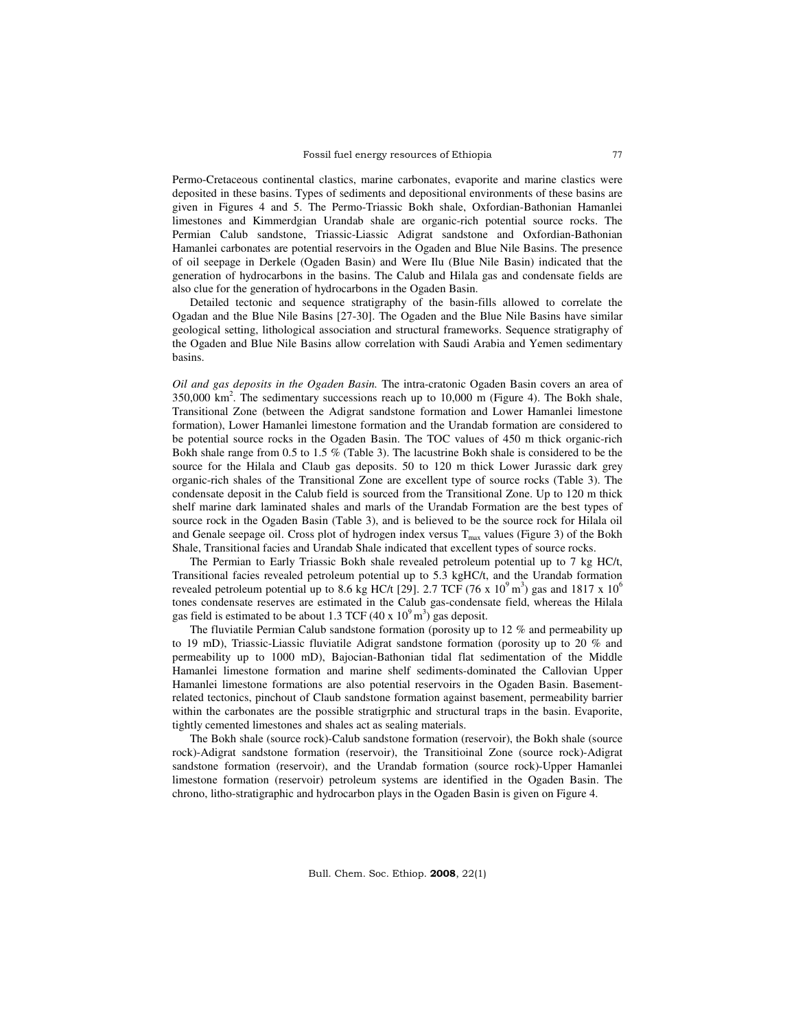Permo-Cretaceous continental clastics, marine carbonates, evaporite and marine clastics were deposited in these basins. Types of sediments and depositional environments of these basins are given in Figures 4 and 5. The Permo-Triassic Bokh shale, Oxfordian-Bathonian Hamanlei limestones and Kimmerdgian Urandab shale are organic-rich potential source rocks. The Permian Calub sandstone, Triassic-Liassic Adigrat sandstone and Oxfordian-Bathonian Hamanlei carbonates are potential reservoirs in the Ogaden and Blue Nile Basins. The presence of oil seepage in Derkele (Ogaden Basin) and Were Ilu (Blue Nile Basin) indicated that the generation of hydrocarbons in the basins. The Calub and Hilala gas and condensate fields are also clue for the generation of hydrocarbons in the Ogaden Basin.

Detailed tectonic and sequence stratigraphy of the basin-fills allowed to correlate the Ogadan and the Blue Nile Basins [27-30]. The Ogaden and the Blue Nile Basins have similar geological setting, lithological association and structural frameworks. Sequence stratigraphy of the Ogaden and Blue Nile Basins allow correlation with Saudi Arabia and Yemen sedimentary basins.

*Oil and gas deposits in the Ogaden Basin.* The intra-cratonic Ogaden Basin covers an area of  $350,000$  km<sup>2</sup>. The sedimentary successions reach up to 10,000 m (Figure 4). The Bokh shale, Transitional Zone (between the Adigrat sandstone formation and Lower Hamanlei limestone formation), Lower Hamanlei limestone formation and the Urandab formation are considered to be potential source rocks in the Ogaden Basin. The TOC values of 450 m thick organic-rich Bokh shale range from 0.5 to 1.5 % (Table 3). The lacustrine Bokh shale is considered to be the source for the Hilala and Claub gas deposits. 50 to 120 m thick Lower Jurassic dark grey organic-rich shales of the Transitional Zone are excellent type of source rocks (Table 3). The condensate deposit in the Calub field is sourced from the Transitional Zone. Up to 120 m thick shelf marine dark laminated shales and marls of the Urandab Formation are the best types of source rock in the Ogaden Basin (Table 3), and is believed to be the source rock for Hilala oil and Genale seepage oil. Cross plot of hydrogen index versus  $T_{\text{max}}$  values (Figure 3) of the Bokh Shale, Transitional facies and Urandab Shale indicated that excellent types of source rocks.

The Permian to Early Triassic Bokh shale revealed petroleum potential up to 7 kg HC/t, Transitional facies revealed petroleum potential up to 5.3 kgHC/t, and the Urandab formation revealed petroleum potential up to 8.6 kg HC/t [29]. 2.7 TCF (76 x  $10^9$  m<sup>3</sup>) gas and 1817 x  $10^6$ tones condensate reserves are estimated in the Calub gas-condensate field, whereas the Hilala gas field is estimated to be about 1.3 TCF  $(40 \times 10^{9} \text{ m}^3)$  gas deposit.

The fluviatile Permian Calub sandstone formation (porosity up to 12 % and permeability up to 19 mD), Triassic-Liassic fluviatile Adigrat sandstone formation (porosity up to 20 % and permeability up to 1000 mD), Bajocian-Bathonian tidal flat sedimentation of the Middle Hamanlei limestone formation and marine shelf sediments-dominated the Callovian Upper Hamanlei limestone formations are also potential reservoirs in the Ogaden Basin. Basementrelated tectonics, pinchout of Claub sandstone formation against basement, permeability barrier within the carbonates are the possible stratigrphic and structural traps in the basin. Evaporite, tightly cemented limestones and shales act as sealing materials.

The Bokh shale (source rock)-Calub sandstone formation (reservoir), the Bokh shale (source rock)-Adigrat sandstone formation (reservoir), the Transitioinal Zone (source rock)-Adigrat sandstone formation (reservoir), and the Urandab formation (source rock)-Upper Hamanlei limestone formation (reservoir) petroleum systems are identified in the Ogaden Basin. The chrono, litho-stratigraphic and hydrocarbon plays in the Ogaden Basin is given on Figure 4.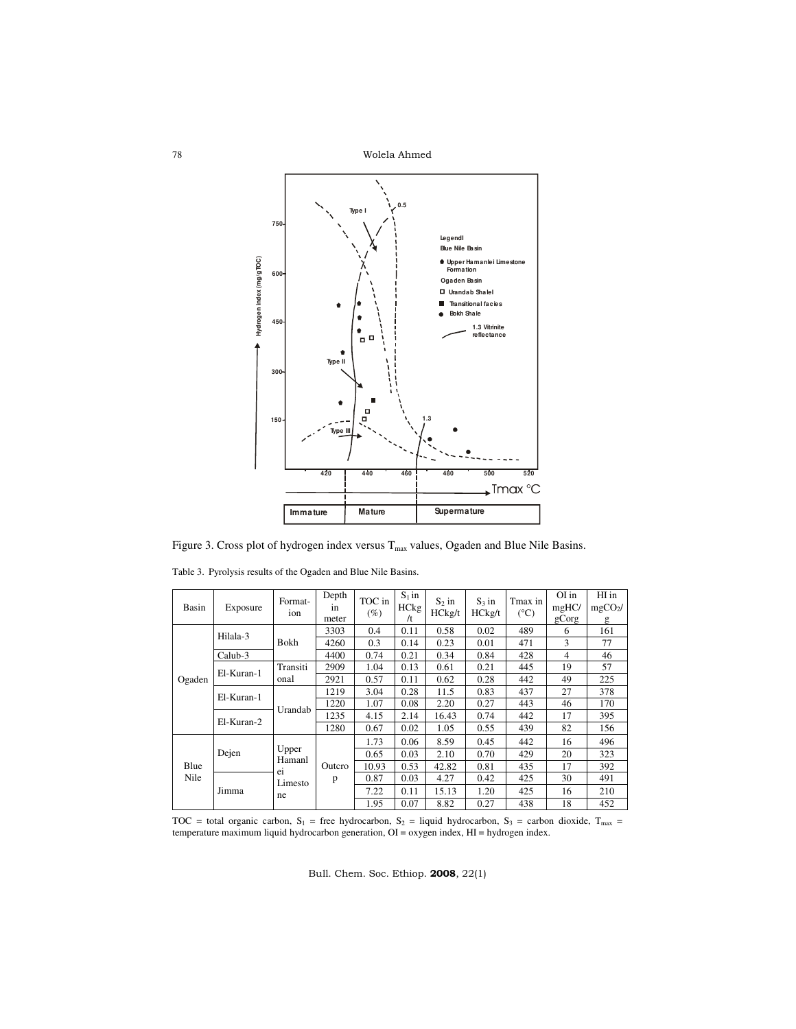

Figure 3. Cross plot of hydrogen index versus  $T_{max}$  values, Ogaden and Blue Nile Basins.

| Basin        | Exposure   | Format-<br>ion                         | Depth<br>in<br>meter | TOC in<br>$(\%)$ | $S_1$ in<br><b>HCkg</b><br>/t | $S_2$ in<br>HCkg/t | $S_3$ in<br>HCkg/t | Tmax in<br>$({}^{\circ}C)$ | $OI$ in<br>mgHC/<br>gCorg | HI in<br>mgCO <sub>2</sub> /<br>g |
|--------------|------------|----------------------------------------|----------------------|------------------|-------------------------------|--------------------|--------------------|----------------------------|---------------------------|-----------------------------------|
|              | Hilala-3   |                                        | 3303                 | 0.4              | 0.11                          | 0.58               | 0.02               | 489                        | 6                         | 161                               |
|              |            | Bokh                                   | 4260                 | 0.3              | 0.14                          | 0.23               | 0.01               | 471                        | 3                         | 77                                |
|              | Calub-3    |                                        | 4400                 | 0.74             | 0.21                          | 0.34               | 0.84               | 428                        | 4                         | 46                                |
|              | El-Kuran-1 | Transiti                               | 2909                 | 1.04             | 0.13                          | 0.61               | 0.21               | 445                        | 19                        | 57                                |
| Ogaden       |            | onal                                   | 2921                 | 0.57             | 0.11                          | 0.62               | 0.28               | 442                        | 49                        | 225                               |
|              | El-Kuran-1 |                                        | 1219                 | 3.04             | 0.28                          | 11.5               | 0.83               | 437                        | 27                        | 378                               |
|              |            | Urandab                                | 1220                 | 1.07             | 0.08                          | 2.20               | 0.27               | 443                        | 46                        | 170                               |
|              | El-Kuran-2 |                                        | 1235                 | 4.15             | 2.14                          | 16.43              | 0.74               | 442                        | 17                        | 395                               |
|              |            |                                        | 1280                 | 0.67             | 0.02                          | 1.05               | 0.55               | 439                        | 82                        | 156                               |
|              |            | Upper<br>Hamanl<br>ei<br>Limesto<br>ne |                      | 1.73             | 0.06                          | 8.59               | 0.45               | 442                        | 16                        | 496                               |
|              | Dejen      |                                        |                      | 0.65             | 0.03                          | 2.10               | 0.70               | 429                        | 20                        | 323                               |
| Blue<br>Nile |            |                                        | Outcro               | 10.93            | 0.53                          | 42.82              | 0.81               | 435                        | 17                        | 392                               |
|              |            |                                        | p                    | 0.87             | 0.03                          | 4.27               | 0.42               | 425                        | 30                        | 491                               |
|              | Jimma      |                                        |                      | 7.22             | 0.11                          | 15.13              | 1.20               | 425                        | 16                        | 210                               |
|              |            |                                        |                      | 1.95             | 0.07                          | 8.82               | 0.27               | 438                        | 18                        | 452                               |

Table 3. Pyrolysis results of the Ogaden and Blue Nile Basins.

TOC = total organic carbon,  $S_1$  = free hydrocarbon,  $S_2$  = liquid hydrocarbon,  $S_3$  = carbon dioxide, T<sub>max</sub> = temperature maximum liquid hydrocarbon generation, OI = oxygen index, HI = hydrogen index.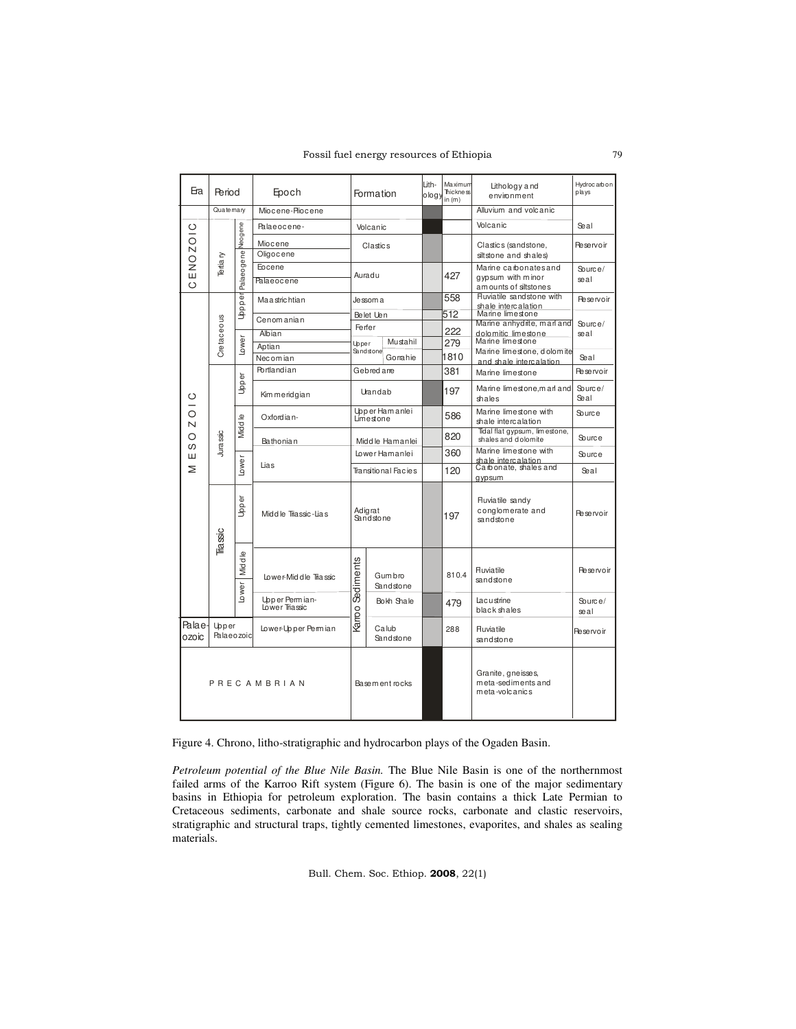Fossil fuel energy resources of Ethiopia

| Era                          | <b>Period</b>        |                                            | Epoch                            |                | <b>Formation</b>           |                              | Lith-<br>ology | Maximum<br><b>Thickness</b><br>in $(m)$                    | Lithology and<br>environment                                          | Hydroc arb on<br>plays |
|------------------------------|----------------------|--------------------------------------------|----------------------------------|----------------|----------------------------|------------------------------|----------------|------------------------------------------------------------|-----------------------------------------------------------------------|------------------------|
|                              | Quatemarv            |                                            | Miocene-Piocene                  |                |                            |                              |                |                                                            | Alluvium and volcanic                                                 |                        |
| $\circ$                      |                      |                                            | Palaeocene-                      |                | Volcanic                   |                              |                |                                                            | Volcanic                                                              | Seal                   |
| ZO<br>$\circ$                |                      | Neogene                                    | Miocene<br>Oligocene             |                | <b>Clastics</b>            |                              |                |                                                            | Clastics (sandstone,<br>siltstone and shales)                         | <b>Reservoir</b>       |
| $\breve{K}$<br>$\circ$       | Tertiary             | Palaeogene                                 | Eocene<br>Palaeocene             |                | Auradu                     |                              |                | 427                                                        | Marine carbonatesand<br>gypsum with minor<br>am ounts of siltstones   | Suure<br>seal          |
|                              |                      |                                            | Maa strichtian                   |                | Je ssom a                  |                              |                | 558                                                        | <b>Ruviatile sandstone with</b>                                       | <b>Reservoir</b>       |
|                              |                      | heddh,                                     | Cenomanian                       |                | Belet Uen                  |                              |                | 512                                                        | shale intercalation<br>Marine limestone<br>Marine anhydrite, marl and |                        |
|                              | Cretaceous           |                                            | Albian                           |                | Ferfer                     |                              |                | 222                                                        | dolomitic limestone                                                   | Source/<br>seal        |
|                              |                      | Lower                                      | Aptian                           | Upper          | Sandstone                  | Mustahil                     |                | 279                                                        | Marine limestone                                                      |                        |
|                              |                      |                                            | Necomian                         |                |                            | Gomahie                      |                | 1810                                                       | Marine limestone, dolomite<br>and shale intercalation                 | Seal                   |
|                              |                      | উ                                          | Portlandian                      |                | Gebred arre                |                              |                | 381                                                        | Marine limestone                                                      | <b>Reservoir</b>       |
| ပ                            | Jurassic             | قو                                         | Kim meridgian                    |                | Urandab                    |                              |                | 197                                                        | Marine limestone, marl and<br>shales                                  | Source/<br>Seal        |
| O<br>$\overline{\mathsf{N}}$ |                      | Midd le                                    | Oxfordia n-                      |                |                            | Upper Ham anlei<br>Limestone |                | 586                                                        | Marine limestone with<br>shale intercalation                          | Source                 |
| O                            |                      |                                            | Bathonian                        |                | Middle Hamanlei            |                              |                | 820                                                        | Tidal flat gypsum, limestone,<br>shales and dolomite                  | Source                 |
| S<br>ш                       |                      | Lower                                      |                                  |                | Lower Hamanlei             |                              |                | 360                                                        | Marine limestone with<br>shale intercalation                          | <b>Source</b>          |
| Σ                            |                      |                                            | Lias                             |                | <b>Transitional Facies</b> |                              |                | 120                                                        | Carbonate, shales and<br>qypsum                                       | Seal                   |
|                              | Trassic              | উ<br>ءَ هل                                 | Middle Triassic-Lias             |                | Adigrat<br>Sandstone       |                              |                | 197                                                        | <b>Huviatile</b> sandy<br>conglomerate and<br>sandstone               | <b>Reservoir</b>       |
|                              |                      | $\overline{\mathbb{Q}}$<br>Midd I<br>Lower | Lower-Mid dle Tria ssic          | Sediments      |                            | Gum bro<br>Sandstone         |                | 810.4                                                      | <b>Huviatile</b><br>sandstone                                         | <b>Reservoir</b>       |
|                              |                      |                                            | Upper Permian-<br>Lower Triassic |                |                            | Bolth Shale                  |                | 479                                                        | Lacustrine<br>black shales                                            | Source/<br>seal        |
| Palae <del>l</del><br>ozoic  | Upp er<br>Palaeozoic |                                            | Lower-Upper Permian              | Karroo         |                            | Calub<br>Sandstone           |                | 288                                                        | <b>Huviatile</b><br>sandstone                                         | Reservoir              |
| PRECAMBRIAN                  |                      |                                            |                                  | Basement rocks |                            |                              |                | Granite, gneisses,<br>meta-sediments and<br>meta-volcanics |                                                                       |                        |

Figure 4. Chrono, litho-stratigraphic and hydrocarbon plays of the Ogaden Basin.

*Petroleum potential of the Blue Nile Basin.* The Blue Nile Basin is one of the northernmost failed arms of the Karroo Rift system (Figure 6). The basin is one of the major sedimentary basins in Ethiopia for petroleum exploration. The basin contains a thick Late Permian to Cretaceous sediments, carbonate and shale source rocks, carbonate and clastic reservoirs, stratigraphic and structural traps, tightly cemented limestones, evaporites, and shales as sealing materials.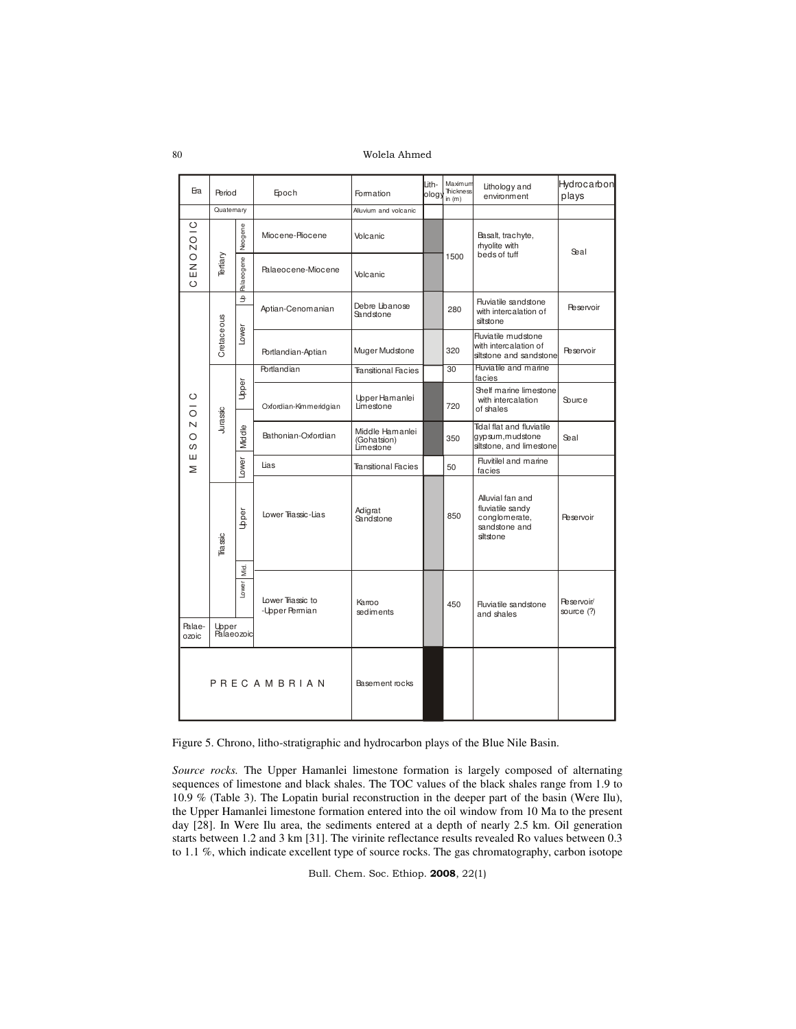| Era                                              | <b>Period</b>       |               | Epoch                               | Formation                                   | Lith-<br>ology | Maximum<br><b>Thickness</b><br>in $(m)$ | Lithology and<br>environment                                                        | Hydrocarbon<br>plays     |
|--------------------------------------------------|---------------------|---------------|-------------------------------------|---------------------------------------------|----------------|-----------------------------------------|-------------------------------------------------------------------------------------|--------------------------|
|                                                  | Quatemary           |               |                                     | Alluvium and volcanic                       |                |                                         |                                                                                     |                          |
| $\circ$<br>$\overline{0}$                        |                     | Neogene       | Miocene-Pliocene                    | Volcanic                                    |                |                                         | Basalt, trachyte,<br>rhyolite with                                                  | Seal                     |
| $\circ$<br>Tertiary<br>$\overline{K}$<br>$\circ$ |                     | Palaeogene    | Palaeocene-Miocene                  | Volcanic                                    |                | 1500                                    | beds of tuff                                                                        |                          |
|                                                  |                     | £             | Aptian-Cenomanian                   | Debre Libanose<br>Sandstone                 |                | 280                                     | Fluviatile sandstone<br>with intercalation of<br>siltstone                          | <b>Reservoir</b>         |
|                                                  | Cretaceous          | Lower         | Portlandian-Aptian                  | Muger Mudstone                              |                | 320<br>30                               | Fluviatile mudstone<br>with intercalation of<br>siltstone and sandstone             | <b>Reservoir</b>         |
|                                                  |                     |               | Portlandian                         | <b>Transitional Facies</b>                  |                |                                         | <b>Huviatile and marine</b><br>facies                                               |                          |
| O<br>$\circ$                                     | Jurassic            | pper          | Oxfordian-Kimmeridgian              | Upper Hamanlei<br>Limestone                 |                | 720                                     | Shelf marine limestone<br>with intercalation<br>of shales                           | Source                   |
| $\overline{\mathsf{N}}$<br>O<br>S                |                     | Middle        | Bathonian-Oxfordian                 | Middle Hamanlei<br>(Gohatsion)<br>Limestone |                | 350                                     | <b>Tidal flat and fluviatile</b><br>gypsum, mudstone<br>sitstone, and limestone     | Seal                     |
| Ш<br>Σ                                           |                     | Lower         | Lias                                | <b>Transitional Facies</b>                  |                | 50                                      | <b>Ruvitilel and marine</b><br>facies                                               |                          |
|                                                  | Tiassic             | Upper<br>Mid. | Lower Triassic-Lias                 | Adigrat<br>Sandstone                        |                | 850                                     | Alluvial fan and<br>fluviatile sandy<br>conglomerate,<br>sandstone and<br>siltstone | <b>Reservoir</b>         |
|                                                  |                     | Lower         | Lower Triassic to<br>-Upper Permian | Kamoo<br>sediments                          |                | 450                                     | Fluviatile sandstone<br>and shales                                                  | Peservoir/<br>source (?) |
| Palae-<br>ozoic                                  | Upper<br>Palaeozoic |               |                                     |                                             |                |                                         |                                                                                     |                          |
|                                                  |                     |               | PRECAMBRIAN                         | Basement rocks                              |                |                                         |                                                                                     |                          |

Figure 5. Chrono, litho-stratigraphic and hydrocarbon plays of the Blue Nile Basin.

*Source rocks.* The Upper Hamanlei limestone formation is largely composed of alternating sequences of limestone and black shales. The TOC values of the black shales range from 1.9 to 10.9 % (Table 3). The Lopatin burial reconstruction in the deeper part of the basin (Were Ilu), the Upper Hamanlei limestone formation entered into the oil window from 10 Ma to the present day [28]. In Were Ilu area, the sediments entered at a depth of nearly 2.5 km. Oil generation starts between 1.2 and 3 km [31]. The virinite reflectance results revealed Ro values between 0.3 to 1.1 %, which indicate excellent type of source rocks. The gas chromatography, carbon isotope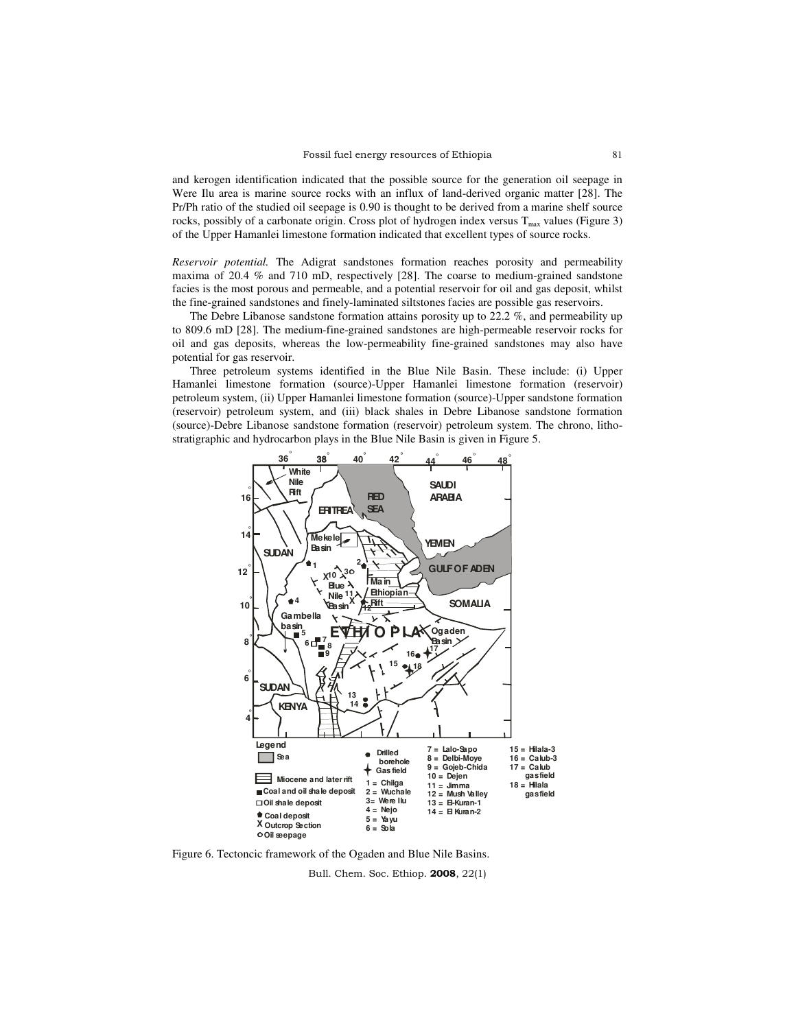and kerogen identification indicated that the possible source for the generation oil seepage in Were Ilu area is marine source rocks with an influx of land-derived organic matter [28]. The Pr/Ph ratio of the studied oil seepage is 0.90 is thought to be derived from a marine shelf source rocks, possibly of a carbonate origin. Cross plot of hydrogen index versus  $T_{\text{max}}$  values (Figure 3) of the Upper Hamanlei limestone formation indicated that excellent types of source rocks.

*Reservoir potential.* The Adigrat sandstones formation reaches porosity and permeability maxima of 20.4 % and 710 mD, respectively [28]. The coarse to medium-grained sandstone facies is the most porous and permeable, and a potential reservoir for oil and gas deposit, whilst the fine-grained sandstones and finely-laminated siltstones facies are possible gas reservoirs.

The Debre Libanose sandstone formation attains porosity up to 22.2 %, and permeability up to 809.6 mD [28]. The medium-fine-grained sandstones are high-permeable reservoir rocks for oil and gas deposits, whereas the low-permeability fine-grained sandstones may also have potential for gas reservoir.

Three petroleum systems identified in the Blue Nile Basin. These include: (i) Upper Hamanlei limestone formation (source)-Upper Hamanlei limestone formation (reservoir) petroleum system, (ii) Upper Hamanlei limestone formation (source)-Upper sandstone formation (reservoir) petroleum system, and (iii) black shales in Debre Libanose sandstone formation (source)-Debre Libanose sandstone formation (reservoir) petroleum system. The chrono, lithostratigraphic and hydrocarbon plays in the Blue Nile Basin is given in Figure 5.



Figure 6. Tectoncic framework of the Ogaden and Blue Nile Basins.

Bull. Chem. Soc. Ethiop. 2008, 22(1)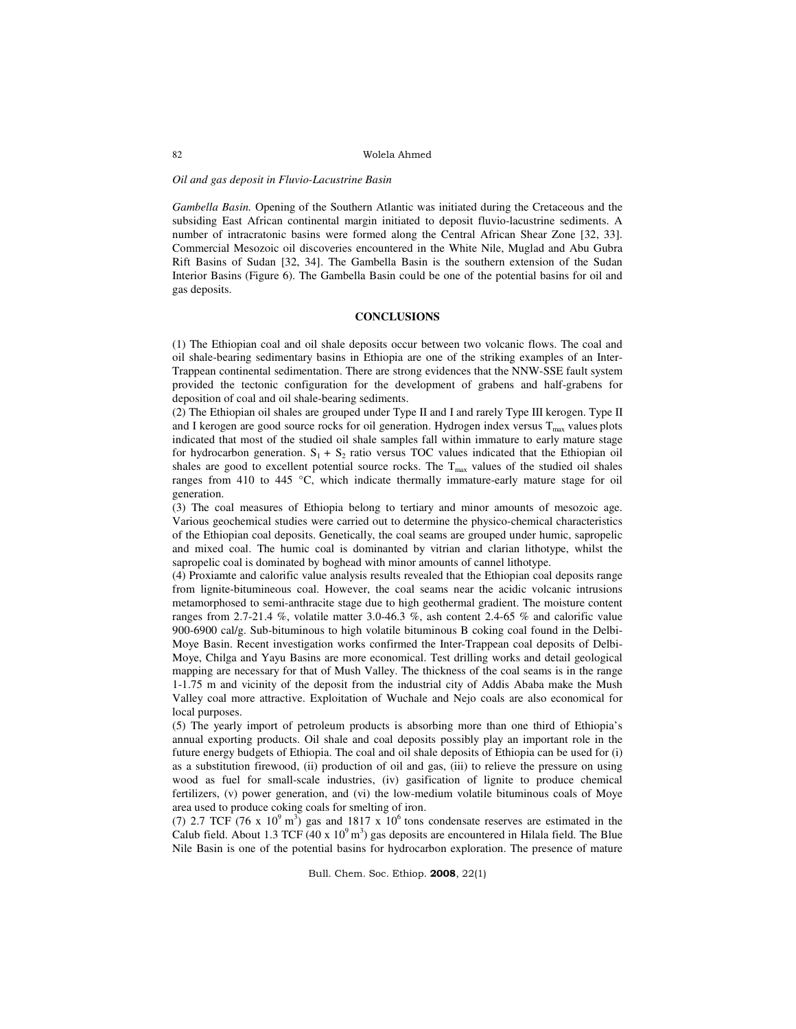#### *Oil and gas deposit in Fluvio-Lacustrine Basin*

*Gambella Basin.* Opening of the Southern Atlantic was initiated during the Cretaceous and the subsiding East African continental margin initiated to deposit fluvio-lacustrine sediments. A number of intracratonic basins were formed along the Central African Shear Zone [32, 33]. Commercial Mesozoic oil discoveries encountered in the White Nile, Muglad and Abu Gubra Rift Basins of Sudan [32, 34]. The Gambella Basin is the southern extension of the Sudan Interior Basins (Figure 6). The Gambella Basin could be one of the potential basins for oil and gas deposits.

# **CONCLUSIONS**

(1) The Ethiopian coal and oil shale deposits occur between two volcanic flows. The coal and oil shale-bearing sedimentary basins in Ethiopia are one of the striking examples of an Inter-Trappean continental sedimentation. There are strong evidences that the NNW-SSE fault system provided the tectonic configuration for the development of grabens and half-grabens for deposition of coal and oil shale-bearing sediments.

(2) The Ethiopian oil shales are grouped under Type II and I and rarely Type III kerogen. Type II and I kerogen are good source rocks for oil generation. Hydrogen index versus  $T_{max}$  values plots indicated that most of the studied oil shale samples fall within immature to early mature stage for hydrocarbon generation.  $S_1 + S_2$  ratio versus TOC values indicated that the Ethiopian oil shales are good to excellent potential source rocks. The  $T_{\text{max}}$  values of the studied oil shales ranges from 410 to 445  $^{\circ}$ C, which indicate thermally immature-early mature stage for oil generation.

(3) The coal measures of Ethiopia belong to tertiary and minor amounts of mesozoic age. Various geochemical studies were carried out to determine the physico-chemical characteristics of the Ethiopian coal deposits. Genetically, the coal seams are grouped under humic, sapropelic and mixed coal. The humic coal is dominanted by vitrian and clarian lithotype, whilst the sapropelic coal is dominated by boghead with minor amounts of cannel lithotype.

(4) Proxiamte and calorific value analysis results revealed that the Ethiopian coal deposits range from lignite-bitumineous coal. However, the coal seams near the acidic volcanic intrusions metamorphosed to semi-anthracite stage due to high geothermal gradient. The moisture content ranges from 2.7-21.4 %, volatile matter 3.0-46.3 %, ash content 2.4-65 % and calorific value 900-6900 cal/g. Sub-bituminous to high volatile bituminous B coking coal found in the Delbi-Moye Basin. Recent investigation works confirmed the Inter-Trappean coal deposits of Delbi-Moye, Chilga and Yayu Basins are more economical. Test drilling works and detail geological mapping are necessary for that of Mush Valley. The thickness of the coal seams is in the range 1-1.75 m and vicinity of the deposit from the industrial city of Addis Ababa make the Mush Valley coal more attractive. Exploitation of Wuchale and Nejo coals are also economical for local purposes.

(5) The yearly import of petroleum products is absorbing more than one third of Ethiopia's annual exporting products. Oil shale and coal deposits possibly play an important role in the future energy budgets of Ethiopia. The coal and oil shale deposits of Ethiopia can be used for (i) as a substitution firewood, (ii) production of oil and gas, (iii) to relieve the pressure on using wood as fuel for small-scale industries, (iv) gasification of lignite to produce chemical fertilizers, (v) power generation, and (vi) the low-medium volatile bituminous coals of Moye area used to produce coking coals for smelting of iron.

(7) 2.7 TCF (76 x  $10^9$  m<sup>3</sup>) gas and 1817 x  $10^6$  tons condensate reserves are estimated in the Calub field. About 1.3 TCF (40 x  $10^9 \text{ m}^3$ ) gas deposits are encountered in Hilala field. The Blue Nile Basin is one of the potential basins for hydrocarbon exploration. The presence of mature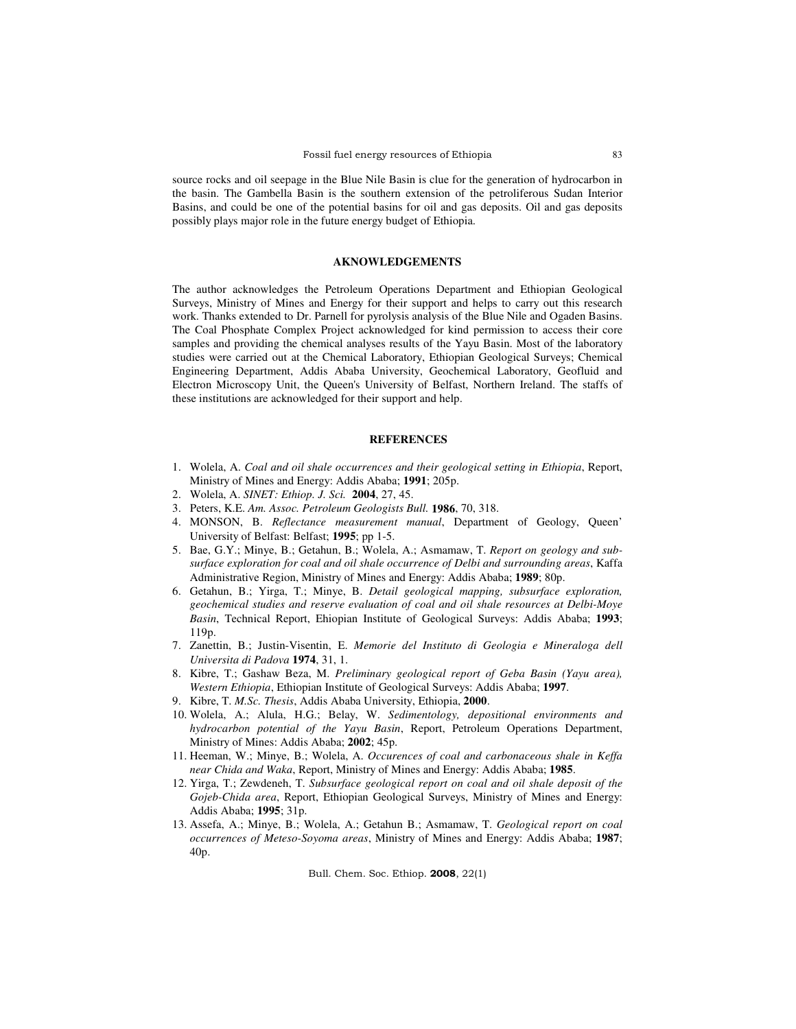source rocks and oil seepage in the Blue Nile Basin is clue for the generation of hydrocarbon in the basin. The Gambella Basin is the southern extension of the petroliferous Sudan Interior Basins, and could be one of the potential basins for oil and gas deposits. Oil and gas deposits possibly plays major role in the future energy budget of Ethiopia.

# **AKNOWLEDGEMENTS**

The author acknowledges the Petroleum Operations Department and Ethiopian Geological Surveys, Ministry of Mines and Energy for their support and helps to carry out this research work. Thanks extended to Dr. Parnell for pyrolysis analysis of the Blue Nile and Ogaden Basins. The Coal Phosphate Complex Project acknowledged for kind permission to access their core samples and providing the chemical analyses results of the Yayu Basin. Most of the laboratory studies were carried out at the Chemical Laboratory, Ethiopian Geological Surveys; Chemical Engineering Department, Addis Ababa University, Geochemical Laboratory, Geofluid and Electron Microscopy Unit, the Queen's University of Belfast, Northern Ireland. The staffs of these institutions are acknowledged for their support and help.

### **REFERENCES**

- 1. Wolela, A. *Coal and oil shale occurrences and their geological setting in Ethiopia*, Report, Ministry of Mines and Energy: Addis Ababa; **1991**; 205p.
- 2. Wolela, A. *SINET: Ethiop. J. Sci.* **2004**, 27, 45.
- 3. Peters, K.E. *Am. Assoc. Petroleum Geologists Bull.* **1986**, 70, 318.
- 4. MONSON, B. *Reflectance measurement manual*, Department of Geology, Queen' University of Belfast: Belfast; **1995**; pp 1-5.
- 5. Bae, G.Y.; Minye, B.; Getahun, B.; Wolela, A.; Asmamaw, T. *Report on geology and subsurface exploration for coal and oil shale occurrence of Delbi and surrounding areas*, Kaffa Administrative Region, Ministry of Mines and Energy: Addis Ababa; **1989**; 80p.
- 6. Getahun, B.; Yirga, T.; Minye, B. *Detail geological mapping, subsurface exploration, geochemical studies and reserve evaluation of coal and oil shale resources at Delbi-Moye Basin*, Technical Report, Ehiopian Institute of Geological Surveys: Addis Ababa; **1993**; 119p.
- 7. Zanettin, B.; Justin-Visentin, E. *Memorie del Instituto di Geologia e Mineraloga dell Universita di Padova* **1974**, 31, 1.
- 8. Kibre, T.; Gashaw Beza, M. *Preliminary geological report of Geba Basin (Yayu area), Western Ethiopia*, Ethiopian Institute of Geological Surveys: Addis Ababa; **1997**.
- 9. Kibre, T. *M.Sc. Thesis*, Addis Ababa University, Ethiopia, **2000**.
- 10. Wolela, A.; Alula, H.G.; Belay, W. *Sedimentology, depositional environments and hydrocarbon potential of the Yayu Basin*, Report, Petroleum Operations Department, Ministry of Mines: Addis Ababa; **2002**; 45p.
- 11. Heeman, W.; Minye, B.; Wolela, A. *Occurences of coal and carbonaceous shale in Keffa near Chida and Waka*, Report, Ministry of Mines and Energy: Addis Ababa; **1985**.
- 12. Yirga, T.; Zewdeneh, T. *Subsurface geological report on coal and oil shale deposit of the Gojeb-Chida area*, Report, Ethiopian Geological Surveys, Ministry of Mines and Energy: Addis Ababa; **1995**; 31p.
- 13. Assefa, A.; Minye, B.; Wolela, A.; Getahun B.; Asmamaw, T. *Geological report on coal occurrences of Meteso-Soyoma areas*, Ministry of Mines and Energy: Addis Ababa; **1987**; 40p.